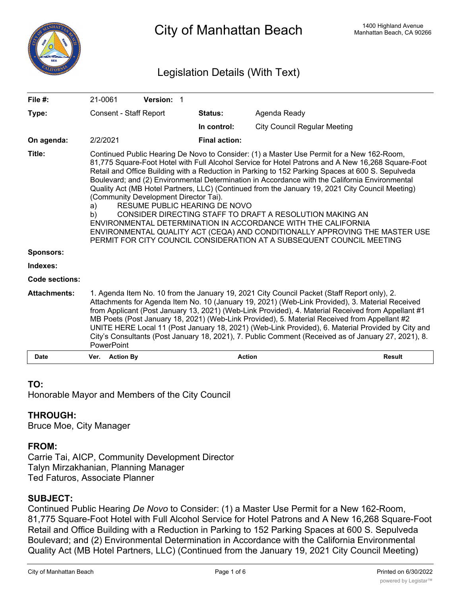

City of Manhattan Beach Manhattan Beach Manhattan Beach, CA 90266

# Legislation Details (With Text)

| File $#$ :            | 21-0061                                                                                                                                                                                                                                                                                                                                                                                                                                                                                                                                                                                                                                                                                                                                                                                                                                                                            | <b>Version: 1</b> |  |                      |                                     |               |
|-----------------------|------------------------------------------------------------------------------------------------------------------------------------------------------------------------------------------------------------------------------------------------------------------------------------------------------------------------------------------------------------------------------------------------------------------------------------------------------------------------------------------------------------------------------------------------------------------------------------------------------------------------------------------------------------------------------------------------------------------------------------------------------------------------------------------------------------------------------------------------------------------------------------|-------------------|--|----------------------|-------------------------------------|---------------|
| Type:                 | Consent - Staff Report                                                                                                                                                                                                                                                                                                                                                                                                                                                                                                                                                                                                                                                                                                                                                                                                                                                             |                   |  | <b>Status:</b>       | Agenda Ready                        |               |
|                       |                                                                                                                                                                                                                                                                                                                                                                                                                                                                                                                                                                                                                                                                                                                                                                                                                                                                                    |                   |  | In control:          | <b>City Council Regular Meeting</b> |               |
| On agenda:            | 2/2/2021                                                                                                                                                                                                                                                                                                                                                                                                                                                                                                                                                                                                                                                                                                                                                                                                                                                                           |                   |  | <b>Final action:</b> |                                     |               |
| Title:                | Continued Public Hearing De Novo to Consider: (1) a Master Use Permit for a New 162-Room,<br>81,775 Square-Foot Hotel with Full Alcohol Service for Hotel Patrons and A New 16,268 Square-Foot<br>Retail and Office Building with a Reduction in Parking to 152 Parking Spaces at 600 S. Sepulveda<br>Boulevard; and (2) Environmental Determination in Accordance with the California Environmental<br>Quality Act (MB Hotel Partners, LLC) (Continued from the January 19, 2021 City Council Meeting)<br>(Community Development Director Tai).<br>RESUME PUBLIC HEARING DE NOVO<br>a)<br>CONSIDER DIRECTING STAFF TO DRAFT A RESOLUTION MAKING AN<br>b)<br>ENVIRONMENTAL DETERMINATION IN ACCORDANCE WITH THE CALIFORNIA<br>ENVIRONMENTAL QUALITY ACT (CEQA) AND CONDITIONALLY APPROVING THE MASTER USE<br>PERMIT FOR CITY COUNCIL CONSIDERATION AT A SUBSEQUENT COUNCIL MEETING |                   |  |                      |                                     |               |
| <b>Sponsors:</b>      |                                                                                                                                                                                                                                                                                                                                                                                                                                                                                                                                                                                                                                                                                                                                                                                                                                                                                    |                   |  |                      |                                     |               |
| Indexes:              |                                                                                                                                                                                                                                                                                                                                                                                                                                                                                                                                                                                                                                                                                                                                                                                                                                                                                    |                   |  |                      |                                     |               |
| <b>Code sections:</b> |                                                                                                                                                                                                                                                                                                                                                                                                                                                                                                                                                                                                                                                                                                                                                                                                                                                                                    |                   |  |                      |                                     |               |
| <b>Attachments:</b>   | 1. Agenda Item No. 10 from the January 19, 2021 City Council Packet (Staff Report only), 2.<br>Attachments for Agenda Item No. 10 (January 19, 2021) (Web-Link Provided), 3. Material Received<br>from Applicant (Post January 13, 2021) (Web-Link Provided), 4. Material Received from Appellant #1<br>MB Poets (Post January 18, 2021) (Web-Link Provided), 5. Material Received from Appellant #2<br>UNITE HERE Local 11 (Post January 18, 2021) (Web-Link Provided), 6. Material Provided by City and<br>City's Consultants (Post January 18, 2021), 7. Public Comment (Received as of January 27, 2021), 8.<br><b>PowerPoint</b>                                                                                                                                                                                                                                              |                   |  |                      |                                     |               |
| <b>Date</b>           | <b>Action By</b><br>Ver.                                                                                                                                                                                                                                                                                                                                                                                                                                                                                                                                                                                                                                                                                                                                                                                                                                                           |                   |  | <b>Action</b>        |                                     | <b>Result</b> |

#### **TO:**

Honorable Mayor and Members of the City Council

# **THROUGH:**

Bruce Moe, City Manager

# **FROM:**

Carrie Tai, AICP, Community Development Director Talyn Mirzakhanian, Planning Manager Ted Faturos, Associate Planner

#### **SUBJECT:**

Continued Public Hearing *De Novo* to Consider: (1) a Master Use Permit for a New 162-Room, 81,775 Square-Foot Hotel with Full Alcohol Service for Hotel Patrons and A New 16,268 Square-Foot Retail and Office Building with a Reduction in Parking to 152 Parking Spaces at 600 S. Sepulveda Boulevard; and (2) Environmental Determination in Accordance with the California Environmental Quality Act (MB Hotel Partners, LLC) (Continued from the January 19, 2021 City Council Meeting)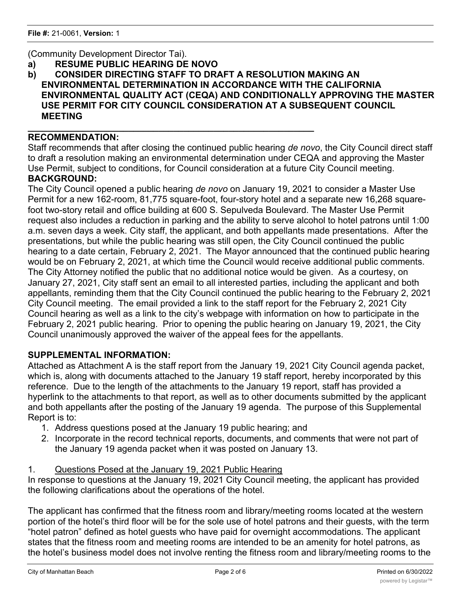# (Community Development Director Tai).

**a) RESUME PUBLIC HEARING DE NOVO**

**\_\_\_\_\_\_\_\_\_\_\_\_\_\_\_\_\_\_\_\_\_\_\_\_\_\_\_\_\_\_\_\_\_\_\_\_\_\_\_\_\_\_\_\_\_\_\_\_\_\_\_\_\_\_\_\_\_**

**b) CONSIDER DIRECTING STAFF TO DRAFT A RESOLUTION MAKING AN ENVIRONMENTAL DETERMINATION IN ACCORDANCE WITH THE CALIFORNIA ENVIRONMENTAL QUALITY ACT (CEQA) AND CONDITIONALLY APPROVING THE MASTER USE PERMIT FOR CITY COUNCIL CONSIDERATION AT A SUBSEQUENT COUNCIL MEETING**

#### **RECOMMENDATION:**

Staff recommends that after closing the continued public hearing *de novo*, the City Council direct staff to draft a resolution making an environmental determination under CEQA and approving the Master Use Permit, subject to conditions, for Council consideration at a future City Council meeting. **BACKGROUND:**

The City Council opened a public hearing *de novo* on January 19, 2021 to consider a Master Use Permit for a new 162-room, 81,775 square-foot, four-story hotel and a separate new 16,268 squarefoot two-story retail and office building at 600 S. Sepulveda Boulevard. The Master Use Permit request also includes a reduction in parking and the ability to serve alcohol to hotel patrons until 1:00 a.m. seven days a week. City staff, the applicant, and both appellants made presentations. After the presentations, but while the public hearing was still open, the City Council continued the public hearing to a date certain, February 2, 2021. The Mayor announced that the continued public hearing would be on February 2, 2021, at which time the Council would receive additional public comments. The City Attorney notified the public that no additional notice would be given. As a courtesy, on January 27, 2021, City staff sent an email to all interested parties, including the applicant and both appellants, reminding them that the City Council continued the public hearing to the February 2, 2021 City Council meeting. The email provided a link to the staff report for the February 2, 2021 City Council hearing as well as a link to the city's webpage with information on how to participate in the February 2, 2021 public hearing. Prior to opening the public hearing on January 19, 2021, the City Council unanimously approved the waiver of the appeal fees for the appellants.

# **SUPPLEMENTAL INFORMATION:**

Attached as Attachment A is the staff report from the January 19, 2021 City Council agenda packet, which is, along with documents attached to the January 19 staff report, hereby incorporated by this reference. Due to the length of the attachments to the January 19 report, staff has provided a hyperlink to the attachments to that report, as well as to other documents submitted by the applicant and both appellants after the posting of the January 19 agenda. The purpose of this Supplemental Report is to:

- 1. Address questions posed at the January 19 public hearing; and
- 2. Incorporate in the record technical reports, documents, and comments that were not part of the January 19 agenda packet when it was posted on January 13.

# 1. Questions Posed at the January 19, 2021 Public Hearing

In response to questions at the January 19, 2021 City Council meeting, the applicant has provided the following clarifications about the operations of the hotel.

The applicant has confirmed that the fitness room and library/meeting rooms located at the western portion of the hotel's third floor will be for the sole use of hotel patrons and their guests, with the term "hotel patron" defined as hotel guests who have paid for overnight accommodations. The applicant states that the fitness room and meeting rooms are intended to be an amenity for hotel patrons, as the hotel's business model does not involve renting the fitness room and library/meeting rooms to the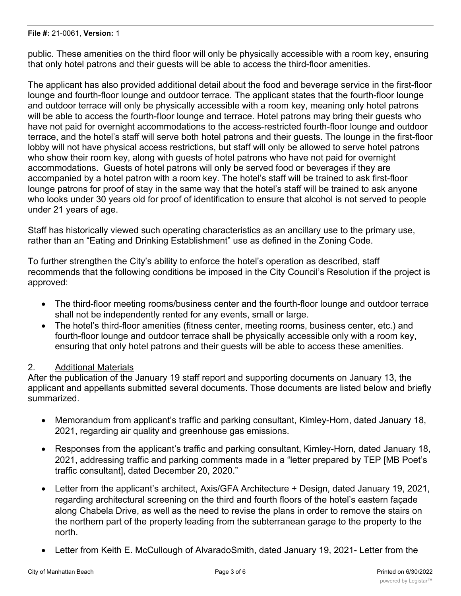public. These amenities on the third floor will only be physically accessible with a room key, ensuring that only hotel patrons and their guests will be able to access the third-floor amenities.

The applicant has also provided additional detail about the food and beverage service in the first-floor lounge and fourth-floor lounge and outdoor terrace. The applicant states that the fourth-floor lounge and outdoor terrace will only be physically accessible with a room key, meaning only hotel patrons will be able to access the fourth-floor lounge and terrace. Hotel patrons may bring their guests who have not paid for overnight accommodations to the access-restricted fourth-floor lounge and outdoor terrace, and the hotel's staff will serve both hotel patrons and their guests. The lounge in the first-floor lobby will not have physical access restrictions, but staff will only be allowed to serve hotel patrons who show their room key, along with guests of hotel patrons who have not paid for overnight accommodations. Guests of hotel patrons will only be served food or beverages if they are accompanied by a hotel patron with a room key. The hotel's staff will be trained to ask first-floor lounge patrons for proof of stay in the same way that the hotel's staff will be trained to ask anyone who looks under 30 years old for proof of identification to ensure that alcohol is not served to people under 21 years of age.

Staff has historically viewed such operating characteristics as an ancillary use to the primary use, rather than an "Eating and Drinking Establishment" use as defined in the Zoning Code.

To further strengthen the City's ability to enforce the hotel's operation as described, staff recommends that the following conditions be imposed in the City Council's Resolution if the project is approved:

- · The third-floor meeting rooms/business center and the fourth-floor lounge and outdoor terrace shall not be independently rented for any events, small or large.
- The hotel's third-floor amenities (fitness center, meeting rooms, business center, etc.) and fourth-floor lounge and outdoor terrace shall be physically accessible only with a room key, ensuring that only hotel patrons and their guests will be able to access these amenities.

# 2. Additional Materials

After the publication of the January 19 staff report and supporting documents on January 13, the applicant and appellants submitted several documents. Those documents are listed below and briefly summarized.

- · Memorandum from applicant's traffic and parking consultant, Kimley-Horn, dated January 18, 2021, regarding air quality and greenhouse gas emissions.
- · Responses from the applicant's traffic and parking consultant, Kimley-Horn, dated January 18, 2021, addressing traffic and parking comments made in a "letter prepared by TEP [MB Poet's traffic consultant], dated December 20, 2020."
- Letter from the applicant's architect, Axis/GFA Architecture + Design, dated January 19, 2021, regarding architectural screening on the third and fourth floors of the hotel's eastern façade along Chabela Drive, as well as the need to revise the plans in order to remove the stairs on the northern part of the property leading from the subterranean garage to the property to the north.
- Letter from Keith E. McCullough of AlvaradoSmith, dated January 19, 2021- Letter from the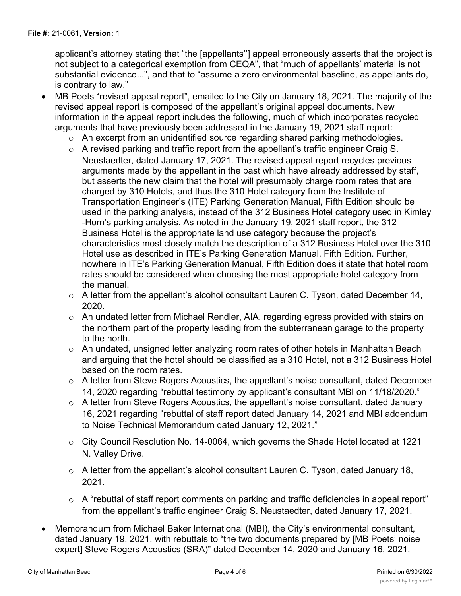applicant's attorney stating that "the [appellants''] appeal erroneously asserts that the project is not subject to a categorical exemption from CEQA", that "much of appellants' material is not substantial evidence...", and that to "assume a zero environmental baseline, as appellants do, is contrary to law."

- MB Poets "revised appeal report", emailed to the City on January 18, 2021. The majority of the revised appeal report is composed of the appellant's original appeal documents. New information in the appeal report includes the following, much of which incorporates recycled arguments that have previously been addressed in the January 19, 2021 staff report:
	- o An excerpt from an unidentified source regarding shared parking methodologies.
	- $\circ$  A revised parking and traffic report from the appellant's traffic engineer Craig S. Neustaedter, dated January 17, 2021. The revised appeal report recycles previous arguments made by the appellant in the past which have already addressed by staff, but asserts the new claim that the hotel will presumably charge room rates that are charged by 310 Hotels, and thus the 310 Hotel category from the Institute of Transportation Engineer's (ITE) Parking Generation Manual, Fifth Edition should be used in the parking analysis, instead of the 312 Business Hotel category used in Kimley -Horn's parking analysis. As noted in the January 19, 2021 staff report, the 312 Business Hotel is the appropriate land use category because the project's characteristics most closely match the description of a 312 Business Hotel over the 310 Hotel use as described in ITE's Parking Generation Manual, Fifth Edition. Further, nowhere in ITE's Parking Generation Manual, Fifth Edition does it state that hotel room rates should be considered when choosing the most appropriate hotel category from the manual.
	- $\circ$  A letter from the appellant's alcohol consultant Lauren C. Tyson, dated December 14, 2020.
	- $\circ$  An undated letter from Michael Rendler, AIA, regarding egress provided with stairs on the northern part of the property leading from the subterranean garage to the property to the north.
	- o An undated, unsigned letter analyzing room rates of other hotels in Manhattan Beach and arguing that the hotel should be classified as a 310 Hotel, not a 312 Business Hotel based on the room rates.
	- o A letter from Steve Rogers Acoustics, the appellant's noise consultant, dated December 14, 2020 regarding "rebuttal testimony by applicant's consultant MBI on 11/18/2020."
	- $\circ$  A letter from Steve Rogers Acoustics, the appellant's noise consultant, dated January 16, 2021 regarding "rebuttal of staff report dated January 14, 2021 and MBI addendum to Noise Technical Memorandum dated January 12, 2021."
	- o City Council Resolution No. 14-0064, which governs the Shade Hotel located at 1221 N. Valley Drive.
	- $\circ$  A letter from the appellant's alcohol consultant Lauren C. Tyson, dated January 18, 2021.
	- o A "rebuttal of staff report comments on parking and traffic deficiencies in appeal report" from the appellant's traffic engineer Craig S. Neustaedter, dated January 17, 2021.
- · Memorandum from Michael Baker International (MBI), the City's environmental consultant, dated January 19, 2021, with rebuttals to "the two documents prepared by [MB Poets' noise expert] Steve Rogers Acoustics (SRA)" dated December 14, 2020 and January 16, 2021,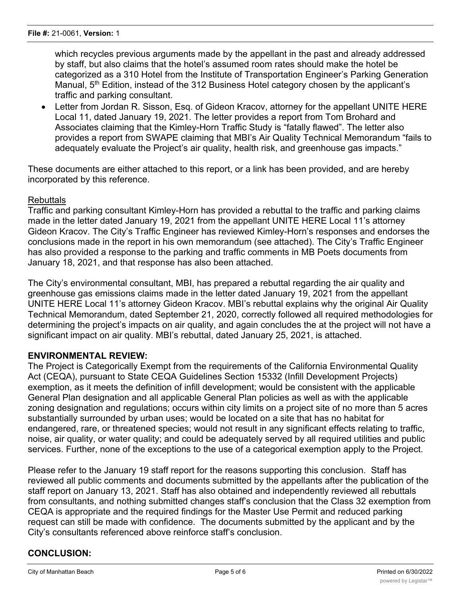which recycles previous arguments made by the appellant in the past and already addressed by staff, but also claims that the hotel's assumed room rates should make the hotel be categorized as a 310 Hotel from the Institute of Transportation Engineer's Parking Generation Manual, 5<sup>th</sup> Edition, instead of the 312 Business Hotel category chosen by the applicant's traffic and parking consultant.

• Letter from Jordan R. Sisson, Esq. of Gideon Kracov, attorney for the appellant UNITE HERE Local 11, dated January 19, 2021. The letter provides a report from Tom Brohard and Associates claiming that the Kimley-Horn Traffic Study is "fatally flawed". The letter also provides a report from SWAPE claiming that MBI's Air Quality Technical Memorandum "fails to adequately evaluate the Project's air quality, health risk, and greenhouse gas impacts."

These documents are either attached to this report, or a link has been provided, and are hereby incorporated by this reference.

#### Rebuttals

Traffic and parking consultant Kimley-Horn has provided a rebuttal to the traffic and parking claims made in the letter dated January 19, 2021 from the appellant UNITE HERE Local 11's attorney Gideon Kracov. The City's Traffic Engineer has reviewed Kimley-Horn's responses and endorses the conclusions made in the report in his own memorandum (see attached). The City's Traffic Engineer has also provided a response to the parking and traffic comments in MB Poets documents from January 18, 2021, and that response has also been attached.

The City's environmental consultant, MBI, has prepared a rebuttal regarding the air quality and greenhouse gas emissions claims made in the letter dated January 19, 2021 from the appellant UNITE HERE Local 11's attorney Gideon Kracov. MBI's rebuttal explains why the original Air Quality Technical Memorandum, dated September 21, 2020, correctly followed all required methodologies for determining the project's impacts on air quality, and again concludes the at the project will not have a significant impact on air quality. MBI's rebuttal, dated January 25, 2021, is attached.

#### **ENVIRONMENTAL REVIEW:**

The Project is Categorically Exempt from the requirements of the California Environmental Quality Act (CEQA), pursuant to State CEQA Guidelines Section 15332 (Infill Development Projects) exemption, as it meets the definition of infill development; would be consistent with the applicable General Plan designation and all applicable General Plan policies as well as with the applicable zoning designation and regulations; occurs within city limits on a project site of no more than 5 acres substantially surrounded by urban uses; would be located on a site that has no habitat for endangered, rare, or threatened species; would not result in any significant effects relating to traffic, noise, air quality, or water quality; and could be adequately served by all required utilities and public services. Further, none of the exceptions to the use of a categorical exemption apply to the Project.

Please refer to the January 19 staff report for the reasons supporting this conclusion. Staff has reviewed all public comments and documents submitted by the appellants after the publication of the staff report on January 13, 2021. Staff has also obtained and independently reviewed all rebuttals from consultants, and nothing submitted changes staff's conclusion that the Class 32 exemption from CEQA is appropriate and the required findings for the Master Use Permit and reduced parking request can still be made with confidence. The documents submitted by the applicant and by the City's consultants referenced above reinforce staff's conclusion.

# **CONCLUSION:**